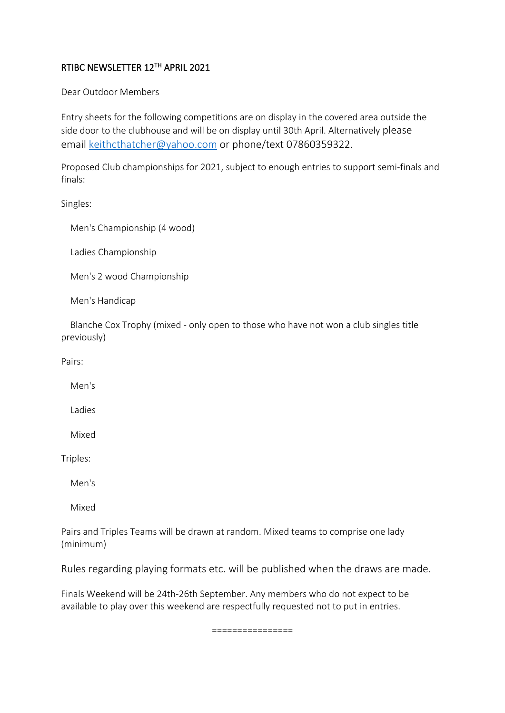## RTIBC NEWSLETTER 12TH APRIL 2021

Dear Outdoor Members

Entry sheets for the following competitions are on display in the covered area outside the side door to the clubhouse and will be on display until 30th April. Alternatively please email [keithcthatcher@yahoo.com](mailto:keithcthatcher@yahoo.com) or phone/text 07860359322.

Proposed Club championships for 2021, subject to enough entries to support semi-finals and finals:

Singles:

Men's Championship (4 wood)

Ladies Championship

Men's 2 wood Championship

Men's Handicap

Blanche Cox Trophy (mixed - only open to those who have not won a club singles title previously)

Pairs:

Men's

Ladies

Mixed

Triples:

Men's

Mixed

Pairs and Triples Teams will be drawn at random. Mixed teams to comprise one lady (minimum)

Rules regarding playing formats etc. will be published when the draws are made.

Finals Weekend will be 24th-26th September. Any members who do not expect to be available to play over this weekend are respectfully requested not to put in entries.

================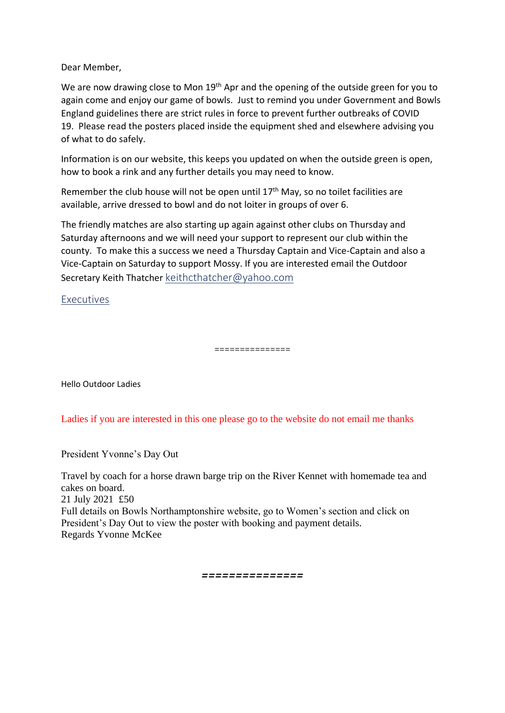Dear Member,

We are now drawing close to Mon 19<sup>th</sup> Apr and the opening of the outside green for you to again come and enjoy our game of bowls. Just to remind you under Government and Bowls England guidelines there are strict rules in force to prevent further outbreaks of COVID 19. Please read the posters placed inside the equipment shed and elsewhere advising you of what to do safely.

Information is on our website, this keeps you updated on when the outside green is open, how to book a rink and any further details you may need to know.

Remember the club house will not be open until  $17<sup>th</sup>$  May, so no toilet facilities are available, arrive dressed to bowl and do not loiter in groups of over 6.

The friendly matches are also starting up again against other clubs on Thursday and Saturday afternoons and we will need your support to represent our club within the county. To make this a success we need a Thursday Captain and Vice-Captain and also a Vice-Captain on Saturday to support Mossy. If you are interested email the Outdoor Secretary Keith Thatcher [keithcthatcher@yahoo.com](mailto:keithcthatcher@yahoo.com)

Executives

===============

Hello Outdoor Ladies

Ladies if you are interested in this one please go to the website do not email me thanks

President Yvonne's Day Out

Travel by coach for a horse drawn barge trip on the River Kennet with homemade tea and cakes on board. 21 July 2021 £50 Full details on Bowls Northamptonshire website, go to Women's section and click on President's Day Out to view the poster with booking and payment details. Regards Yvonne McKee

*===============*